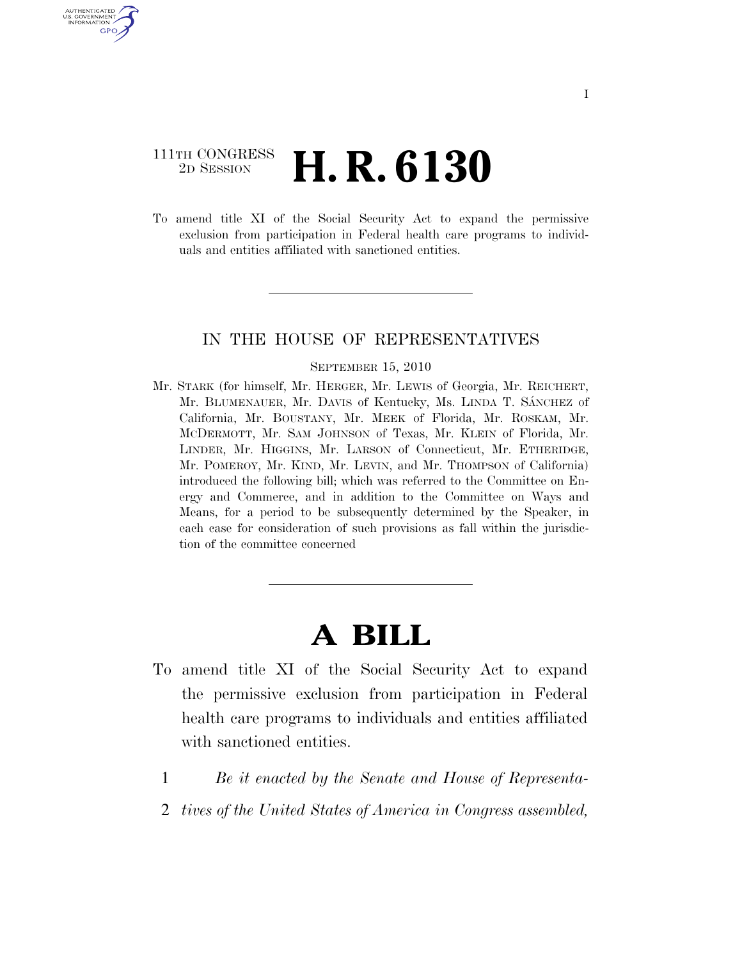## 111TH CONGRESS <sup>2D SESSION</sup> **H. R. 6130**

U.S. GOVERNMENT GPO

> To amend title XI of the Social Security Act to expand the permissive exclusion from participation in Federal health care programs to individuals and entities affiliated with sanctioned entities.

## IN THE HOUSE OF REPRESENTATIVES

## SEPTEMBER 15, 2010

Mr. STARK (for himself, Mr. HERGER, Mr. LEWIS of Georgia, Mr. REICHERT, Mr. BLUMENAUER, Mr. DAVIS of Kentucky, Ms. LINDA T. SÁNCHEZ of California, Mr. BOUSTANY, Mr. MEEK of Florida, Mr. ROSKAM, Mr. MCDERMOTT, Mr. SAM JOHNSON of Texas, Mr. KLEIN of Florida, Mr. LINDER, Mr. HIGGINS, Mr. LARSON of Connecticut, Mr. ETHERIDGE, Mr. POMEROY, Mr. KIND, Mr. LEVIN, and Mr. THOMPSON of California) introduced the following bill; which was referred to the Committee on Energy and Commerce, and in addition to the Committee on Ways and Means, for a period to be subsequently determined by the Speaker, in each case for consideration of such provisions as fall within the jurisdiction of the committee concerned

## **A BILL**

- To amend title XI of the Social Security Act to expand the permissive exclusion from participation in Federal health care programs to individuals and entities affiliated with sanctioned entities.
	- 1 *Be it enacted by the Senate and House of Representa-*
	- 2 *tives of the United States of America in Congress assembled,*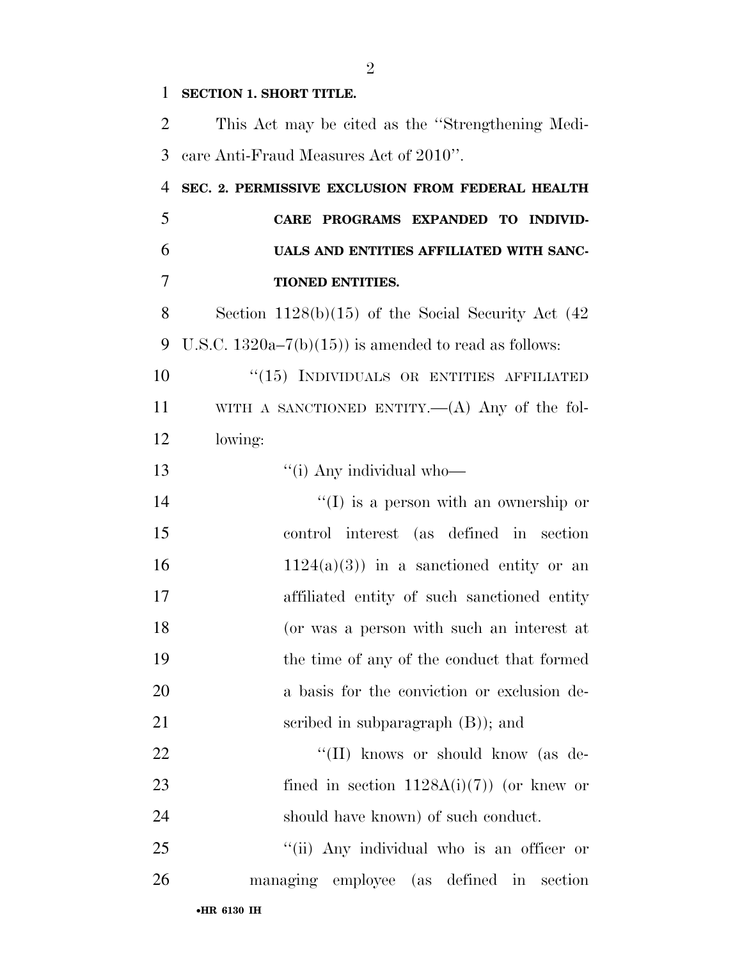| 1              | <b>SECTION 1. SHORT TITLE.</b>                          |
|----------------|---------------------------------------------------------|
| $\overline{2}$ | This Act may be cited as the "Strengthening Medi-       |
| 3              | care Anti-Fraud Measures Act of 2010".                  |
| $\overline{4}$ | SEC. 2. PERMISSIVE EXCLUSION FROM FEDERAL HEALTH        |
| 5              | CARE PROGRAMS EXPANDED TO INDIVID-                      |
| 6              | UALS AND ENTITIES AFFILIATED WITH SANC-                 |
| $\overline{7}$ | <b>TIONED ENTITIES.</b>                                 |
| 8              | Section $1128(b)(15)$ of the Social Security Act $(42)$ |
| 9              | U.S.C. $1320a-7(b)(15)$ is amended to read as follows:  |
| 10             | "(15) INDIVIDUALS OR ENTITIES AFFILIATED                |
| 11             | WITH A SANCTIONED ENTITY.— $(A)$ Any of the fol-        |
| 12             | lowing:                                                 |
| 13             | "(i) Any individual who-                                |
| 14             | $\lq\lq$ is a person with an ownership or               |
| 15             | control interest (as defined in section                 |
| 16             | $1124(a)(3)$ in a sanctioned entity or an               |
| 17             | affiliated entity of such sanctioned entity             |
| 18             | (or was a person with such an interest at               |
| 19             | the time of any of the conduct that formed              |
| 20             | a basis for the conviction or exclusion de-             |
| 21             | scribed in subparagraph $(B)$ ; and                     |
| 22             | "(II) knows or should know (as de-                      |
| 23             | fined in section $1128A(i)(7)$ (or knew or              |
| 24             | should have known) of such conduct.                     |
| 25             | "(ii) Any individual who is an officer or               |
| 26             | managing employee (as defined in section                |
|                |                                                         |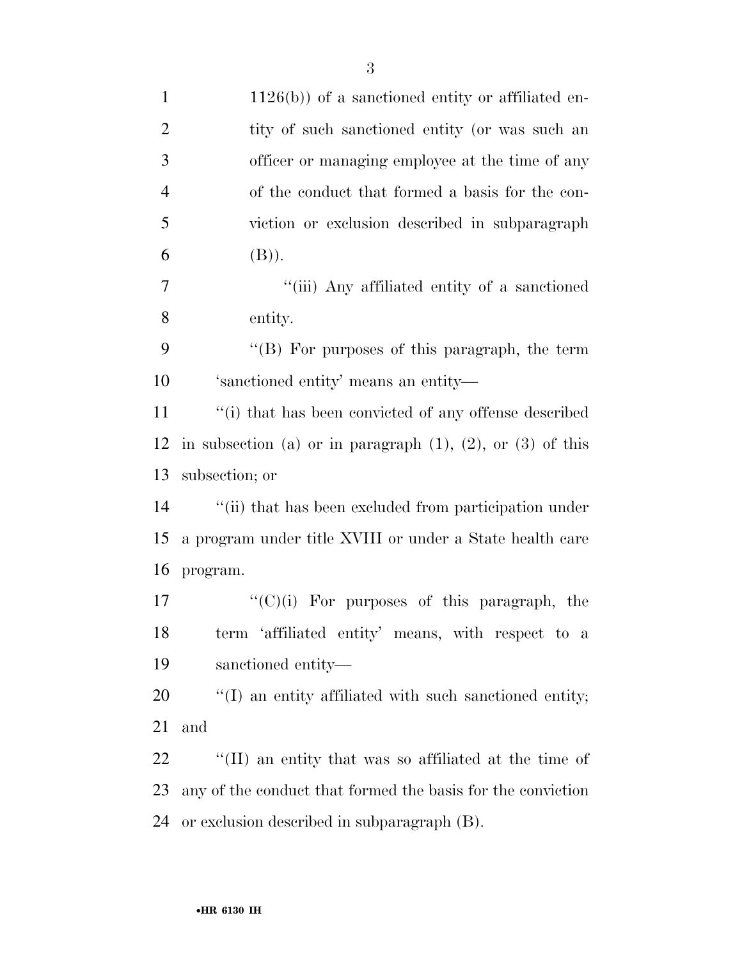| $\mathbf{1}$   | $1126(b)$ ) of a sanctioned entity or affiliated en-               |
|----------------|--------------------------------------------------------------------|
| $\overline{2}$ | tity of such sanctioned entity (or was such an                     |
| 3              | officer or managing employee at the time of any                    |
| $\overline{4}$ | of the conduct that formed a basis for the con-                    |
| 5              | viction or exclusion described in subparagraph                     |
| 6              | (B)).                                                              |
| $\overline{7}$ | "(iii) Any affiliated entity of a sanctioned                       |
| 8              | entity.                                                            |
| 9              | " $(B)$ For purposes of this paragraph, the term                   |
| 10             | 'sanctioned entity' means an entity-                               |
| 11             | "(i) that has been convicted of any offense described              |
| 12             | in subsection (a) or in paragraph $(1)$ , $(2)$ , or $(3)$ of this |
| 13             | subsection; or                                                     |
| 14             | "(ii) that has been excluded from participation under              |
| 15             | a program under title XVIII or under a State health care           |
| 16             | program.                                                           |
| 17             | $\lq\lq$ (C)(i) For purposes of this paragraph, the                |
| 18             | term 'affiliated entity' means, with respect to a                  |
| 19             | sanctioned entity—                                                 |
| 20             | $\lq(1)$ an entity affiliated with such sanctioned entity;         |
| 21             | and                                                                |
| 22             | "(II) an entity that was so affiliated at the time of              |
| 23             | any of the conduct that formed the basis for the conviction        |
| 24             | or exclusion described in subparagraph (B).                        |
|                |                                                                    |